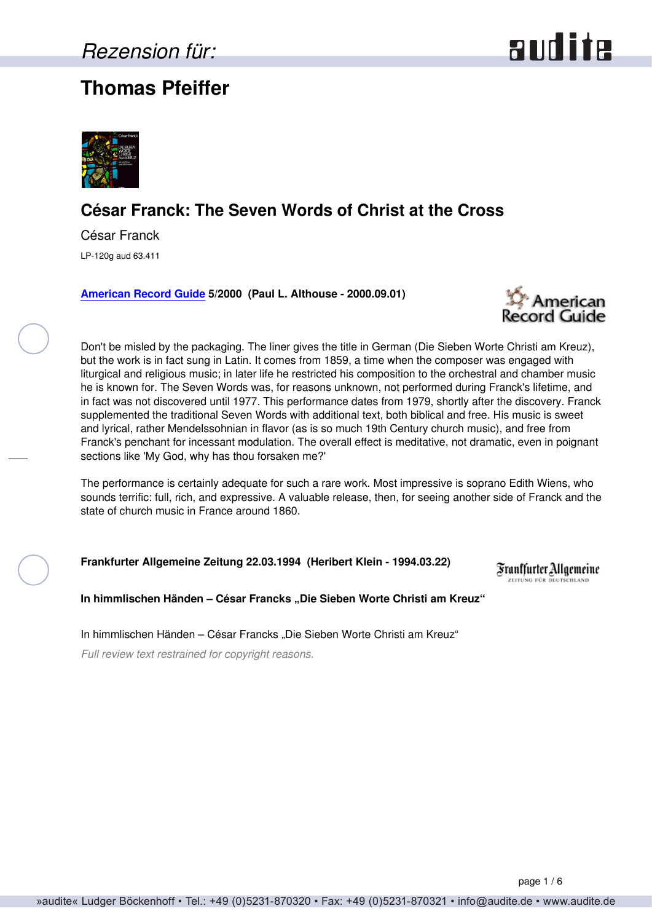## **Thomas Pfeiffer**





### **César Franck: The Seven Words of Christ at the Cross**

César Franck LP-120g aud 63.411

**[American Record Guide](http://www.americanrecordguide.com) 5/2000 (Paul L. Althouse - 2000.09.01)**



Don't be misled by the packaging. The liner gives the title in German (Die Sieben Worte Christi am Kreuz), but the work is in fact sung in Latin. It comes from 1859, a time when the composer was engaged with liturgical and religious music; in later life he restricted his composition to the orchestral and chamber music he is known for. The Seven Words was, for reasons unknown, not performed during Franck's lifetime, and in fact was not discovered until 1977. This performance dates from 1979, shortly after the discovery. Franck supplemented the traditional Seven Words with additional text, both biblical and free. His music is sweet and lyrical, rather Mendelssohnian in flavor (as is so much 19th Century church music), and free from Franck's penchant for incessant modulation. The overall effect is meditative, not dramatic, even in poignant sections like 'My God, why has thou forsaken me?'

The performance is certainly adequate for such a rare work. Most impressive is soprano Edith Wiens, who sounds terrific: full, rich, and expressive. A valuable release, then, for seeing another side of Franck and the state of church music in France around 1860.

**Frankfurter Allgemeine Zeitung 22.03.1994 (Heribert Klein - 1994.03.22)**

Franffurter Allgemeine ELTUNG FÜR DEUTSCHLAND

**In himmlischen Händen – César Francks "Die Sieben Worte Christi am Kreuz"**

In himmlischen Händen – César Francks "Die Sieben Worte Christi am Kreuz"

*Full review text restrained for copyright reasons.*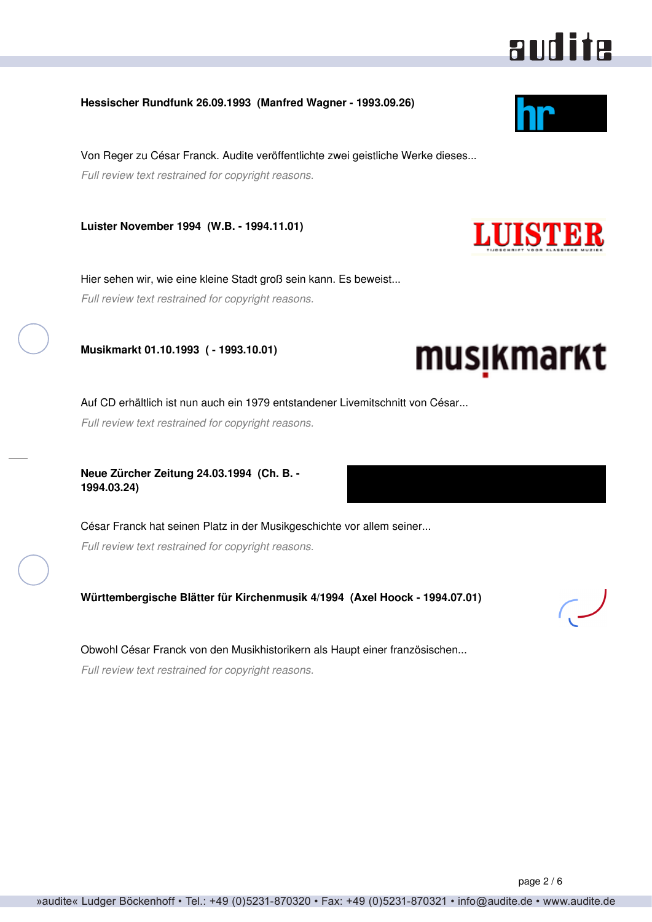### **Hessischer Rundfunk 26.09.1993 (Manfred Wagner - 1993.09.26)**

Von Reger zu César Franck. Audite veröffentlichte zwei geistliche Werke dieses... *Full review text restrained for copyright reasons.*

**Luister November 1994 (W.B. - 1994.11.01)**

Hier sehen wir, wie eine kleine Stadt groß sein kann. Es beweist... *Full review text restrained for copyright reasons.*

**Musikmarkt 01.10.1993 ( - 1993.10.01)**

Auf CD erhältlich ist nun auch ein 1979 entstandener Livemitschnitt von César...

*Full review text restrained for copyright reasons.*

**Neue Zürcher Zeitung 24.03.1994 (Ch. B. - 1994.03.24)**

César Franck hat seinen Platz in der Musikgeschichte vor allem seiner... *Full review text restrained for copyright reasons.*

**Württembergische Blätter für Kirchenmusik 4/1994 (Axel Hoock - 1994.07.01)**

Obwohl César Franck von den Musikhistorikern als Haupt einer französischen...

*Full review text restrained for copyright reasons.*



audite





# musikmarkt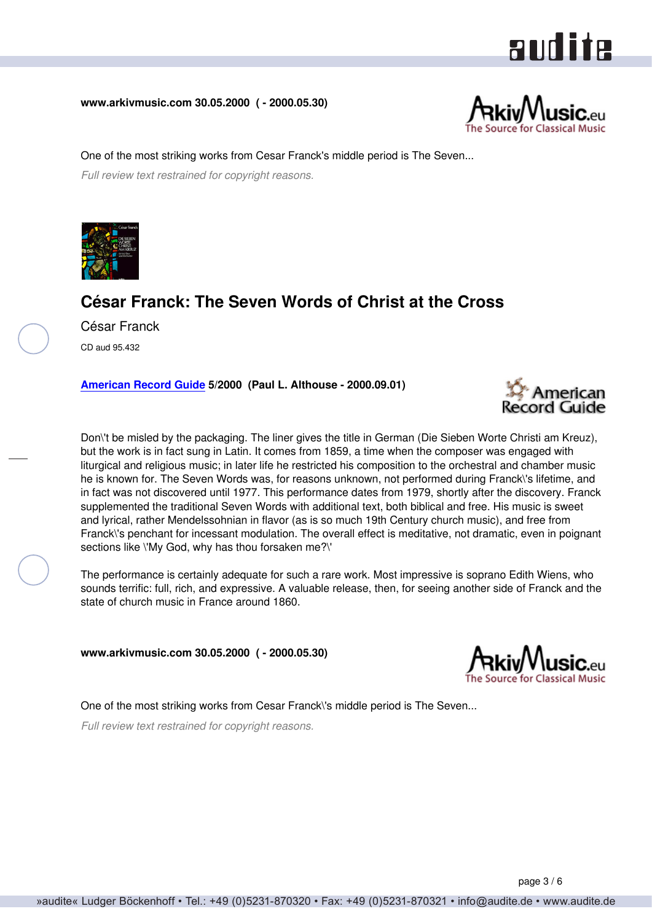# audite

**www.arkivmusic.com 30.05.2000 ( - 2000.05.30)**



One of the most striking works from Cesar Franck's middle period is The Seven... *Full review text restrained for copyright reasons.*



## **César Franck: The Seven Words of Christ at the Cross**

César Franck CD aud 95.432

**[American Record Guide](http://www.americanrecordguide.com) 5/2000 (Paul L. Althouse - 2000.09.01)**



Don\'t be misled by the packaging. The liner gives the title in German (Die Sieben Worte Christi am Kreuz), but the work is in fact sung in Latin. It comes from 1859, a time when the composer was engaged with liturgical and religious music; in later life he restricted his composition to the orchestral and chamber music he is known for. The Seven Words was, for reasons unknown, not performed during Franck\'s lifetime, and in fact was not discovered until 1977. This performance dates from 1979, shortly after the discovery. Franck supplemented the traditional Seven Words with additional text, both biblical and free. His music is sweet and lyrical, rather Mendelssohnian in flavor (as is so much 19th Century church music), and free from Franck\'s penchant for incessant modulation. The overall effect is meditative, not dramatic, even in poignant sections like \'My God, why has thou forsaken me?\'

The performance is certainly adequate for such a rare work. Most impressive is soprano Edith Wiens, who sounds terrific: full, rich, and expressive. A valuable release, then, for seeing another side of Franck and the state of church music in France around 1860.

**www.arkivmusic.com 30.05.2000 ( - 2000.05.30)**



One of the most striking works from Cesar Franck\'s middle period is The Seven...

*Full review text restrained for copyright reasons.*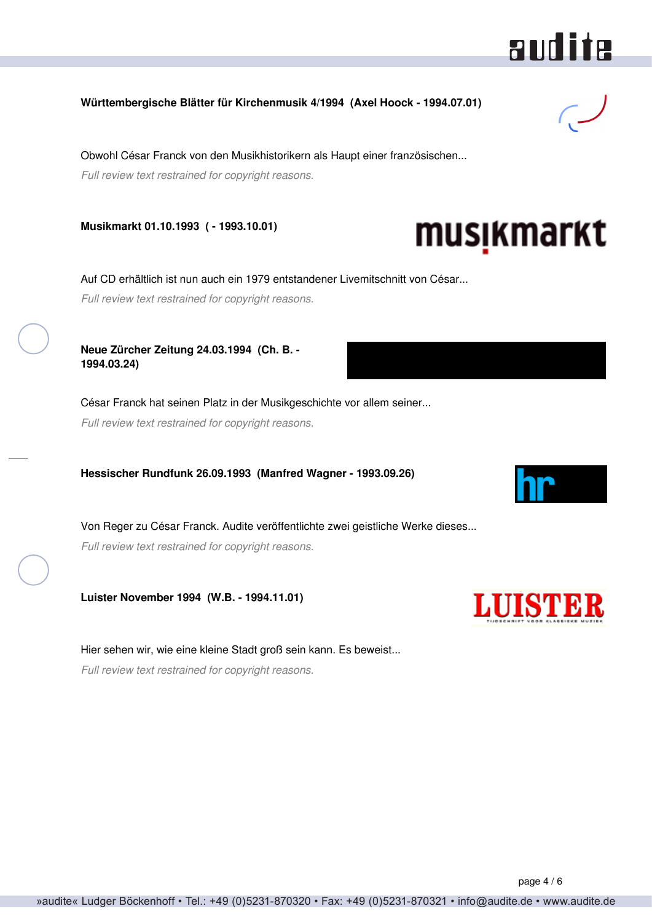### **Württembergische Blätter für Kirchenmusik 4/1994 (Axel Hoock - 1994.07.01)**

Obwohl César Franck von den Musikhistorikern als Haupt einer französischen... *Full review text restrained for copyright reasons.*

**Musikmarkt 01.10.1993 ( - 1993.10.01)**

Auf CD erhältlich ist nun auch ein 1979 entstandener Livemitschnitt von César... *Full review text restrained for copyright reasons.*

**Neue Zürcher Zeitung 24.03.1994 (Ch. B. - 1994.03.24)**

César Franck hat seinen Platz in der Musikgeschichte vor allem seiner... *Full review text restrained for copyright reasons.*

**Hessischer Rundfunk 26.09.1993 (Manfred Wagner - 1993.09.26)**

Von Reger zu César Franck. Audite veröffentlichte zwei geistliche Werke dieses... *Full review text restrained for copyright reasons.*

**Luister November 1994 (W.B. - 1994.11.01)**

Hier sehen wir, wie eine kleine Stadt groß sein kann. Es beweist... *Full review text restrained for copyright reasons.*



musikmarkt







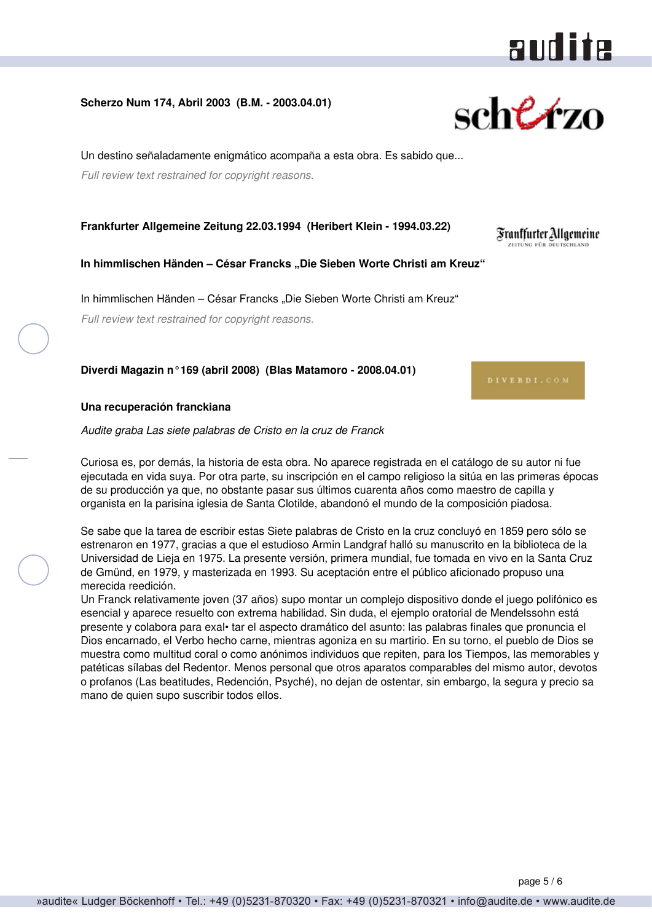# audite

#### **Scherzo Num 174, Abril 2003 (B.M. - 2003.04.01)**

Un destino señaladamente enigmático acompaña a esta obra. Es sabido que... *Full review text restrained for copyright reasons.*

**Frankfurter Allgemeine Zeitung 22.03.1994 (Heribert Klein - 1994.03.22)**

**In himmlischen Händen – César Francks "Die Sieben Worte Christi am Kreuz"**

In himmlischen Händen – César Francks "Die Sieben Worte Christi am Kreuz" *Full review text restrained for copyright reasons.*

**Diverdi Magazin n°169 (abril 2008) (Blas Matamoro - 2008.04.01)**

#### **Una recuperación franckiana**

*Audite graba Las siete palabras de Cristo en la cruz de Franck*

Curiosa es, por demás, la historia de esta obra. No aparece registrada en el catálogo de su autor ni fue ejecutada en vida suya. Por otra parte, su inscripción en el campo religioso la sitúa en las primeras épocas de su producción ya que, no obstante pasar sus últimos cuarenta años como maestro de capilla y organista en la parisina iglesia de Santa Clotilde, abandonó el mundo de la composición piadosa.

Se sabe que la tarea de escribir estas Siete palabras de Cristo en la cruz concluyó en 1859 pero sólo se estrenaron en 1977, gracias a que el estudioso Armin Landgraf halló su manuscrito en la biblioteca de la Universidad de Lieja en 1975. La presente versión, primera mundial, fue tomada en vivo en la Santa Cruz de Gmünd, en 1979, y masterizada en 1993. Su aceptación entre el público aficionado propuso una merecida reedición.

Un Franck relativamente joven (37 años) supo montar un complejo dispositivo donde el juego polifónico es esencial y aparece resuelto con extrema habilidad. Sin duda, el ejemplo oratorial de Mendelssohn está presente y colabora para exal• tar el aspecto dramático del asunto: las palabras finales que pronuncia el Dios encarnado, el Verbo hecho carne, mientras agoniza en su martirio. En su torno, el pueblo de Dios se muestra como multitud coral o como anónimos individuos que repiten, para los Tiempos, las memorables y patéticas sílabas del Redentor. Menos personal que otros aparatos comparables del mismo autor, devotos o profanos (Las beatitudes, Redención, Psyché), no dejan de ostentar, sin embargo, la segura y precio sa mano de quien supo suscribir todos ellos.

page 5 / 6



Frantfurter Allgemeine ELITUNG FÜR DEUTSCHLAND